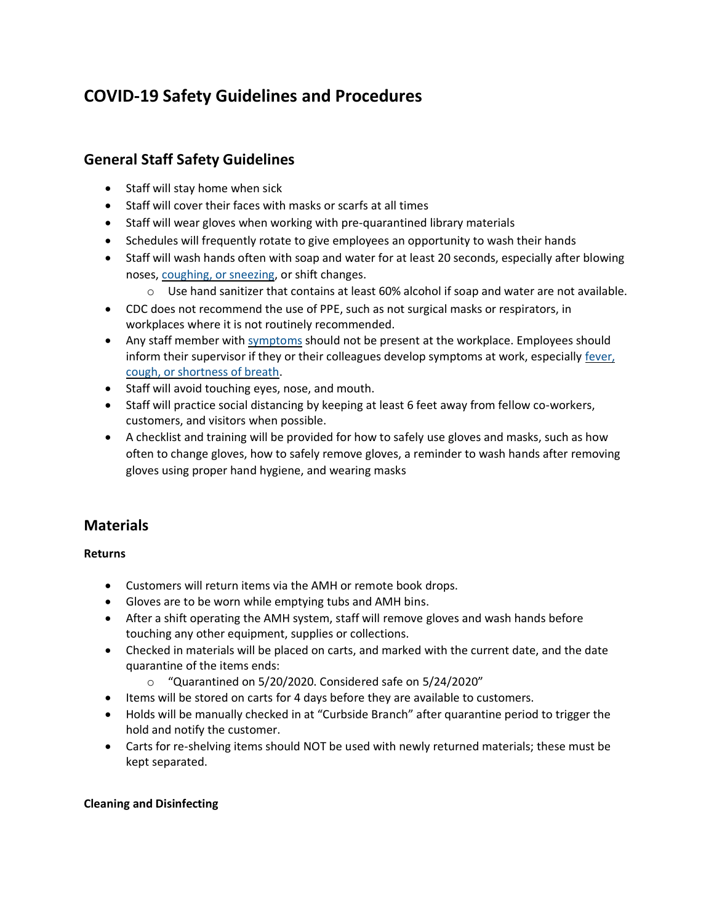# **COVID-19 Safety Guidelines and Procedures**

# **General Staff Safety Guidelines**

- Staff will stay home when sick
- Staff will cover their faces with masks or scarfs at all times
- Staff will wear gloves when working with pre-quarantined library materials
- Schedules will frequently rotate to give employees an opportunity to wash their hands
- Staff will wash hands often with soap and water for at least 20 seconds, especially after blowing noses, [coughing, or sneezing,](https://www.cdc.gov/healthywater/hygiene/etiquette/coughing_sneezing.html) or shift changes.
	- $\circ$  Use hand sanitizer that contains at least 60% alcohol if soap and water are not available.
- CDC does not recommend the use of PPE, such as not surgical masks or respirators, in workplaces where it is not routinely recommended.
- Any staff member with [symptoms](https://www.cdc.gov/coronavirus/2019-ncov/symptoms-testing/symptoms.html) should not be present at the workplace. Employees should inform their supervisor if they or their colleagues develop symptoms at work, especially [fever,](https://www.cdc.gov/coronavirus/2019-ncov/symptoms-testing/symptoms.html)  [cough, or shortness of breath.](https://www.cdc.gov/coronavirus/2019-ncov/symptoms-testing/symptoms.html)
- Staff will avoid touching eyes, nose, and mouth.
- Staff will practice social distancing by keeping at least 6 feet away from fellow co-workers, customers, and visitors when possible.
- A checklist and training will be provided for how to safely use gloves and masks, such as how often to change gloves, how to safely remove gloves, a reminder to wash hands after removing gloves using proper hand hygiene, and wearing masks

# **Materials**

### **Returns**

- Customers will return items via the AMH or remote book drops.
- Gloves are to be worn while emptying tubs and AMH bins.
- After a shift operating the AMH system, staff will remove gloves and wash hands before touching any other equipment, supplies or collections.
- Checked in materials will be placed on carts, and marked with the current date, and the date quarantine of the items ends:
	- o "Quarantined on 5/20/2020. Considered safe on 5/24/2020"
- Items will be stored on carts for 4 days before they are available to customers.
- Holds will be manually checked in at "Curbside Branch" after quarantine period to trigger the hold and notify the customer.
- Carts for re-shelving items should NOT be used with newly returned materials; these must be kept separated.

### **Cleaning and Disinfecting**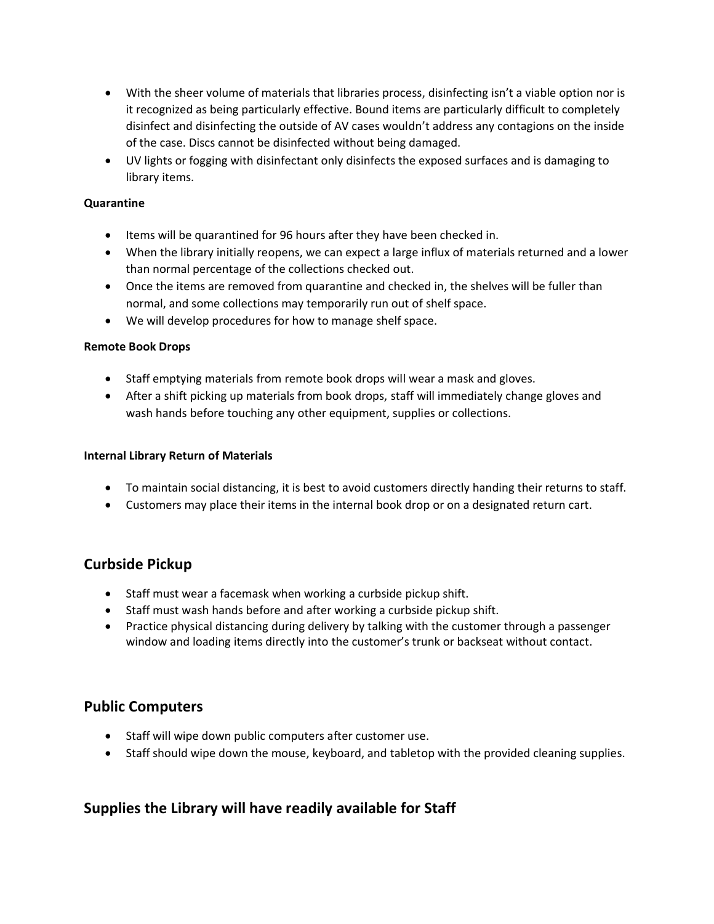- With the sheer volume of materials that libraries process, disinfecting isn't a viable option nor is it recognized as being particularly effective. Bound items are particularly difficult to completely disinfect and disinfecting the outside of AV cases wouldn't address any contagions on the inside of the case. Discs cannot be disinfected without being damaged.
- UV lights or fogging with disinfectant only disinfects the exposed surfaces and is damaging to library items.

### **Quarantine**

- Items will be quarantined for 96 hours after they have been checked in.
- When the library initially reopens, we can expect a large influx of materials returned and a lower than normal percentage of the collections checked out.
- Once the items are removed from quarantine and checked in, the shelves will be fuller than normal, and some collections may temporarily run out of shelf space.
- We will develop procedures for how to manage shelf space.

#### **Remote Book Drops**

- Staff emptying materials from remote book drops will wear a mask and gloves.
- After a shift picking up materials from book drops, staff will immediately change gloves and wash hands before touching any other equipment, supplies or collections.

#### **Internal Library Return of Materials**

- To maintain social distancing, it is best to avoid customers directly handing their returns to staff.
- Customers may place their items in the internal book drop or on a designated return cart.

### **Curbside Pickup**

- Staff must wear a facemask when working a curbside pickup shift.
- Staff must wash hands before and after working a curbside pickup shift.
- Practice physical distancing during delivery by talking with the customer through a passenger window and loading items directly into the customer's trunk or backseat without contact.

### **Public Computers**

- Staff will wipe down public computers after customer use.
- Staff should wipe down the mouse, keyboard, and tabletop with the provided cleaning supplies.

### **Supplies the Library will have readily available for Staff**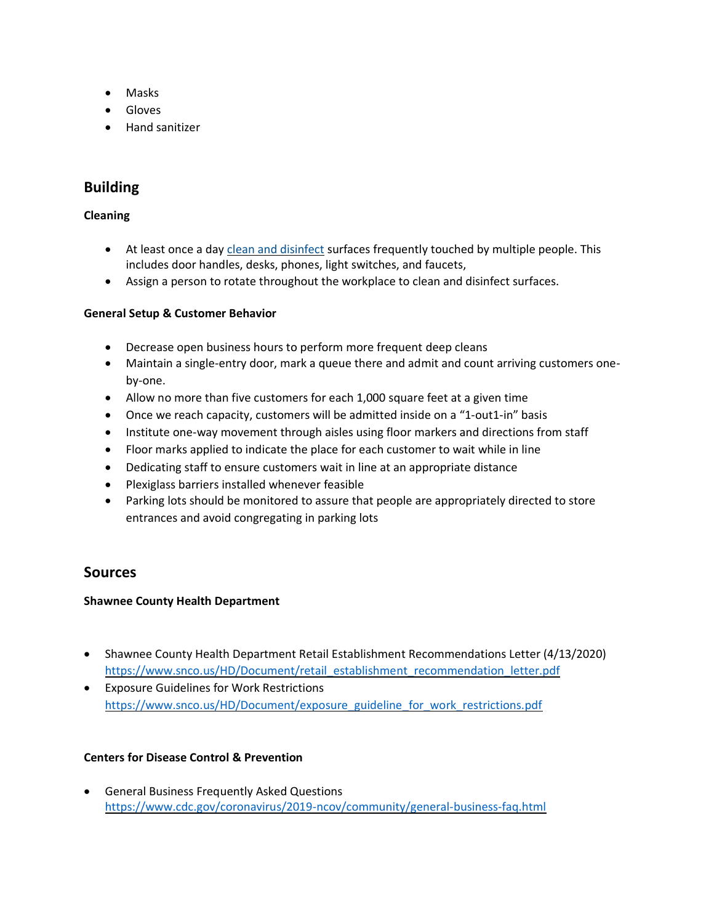- Masks
- Gloves
- Hand sanitizer

## **Building**

### **Cleaning**

- At least once a day [clean and disinfect](https://www.cdc.gov/coronavirus/2019-ncov/community/disinfecting-building-facility.html) surfaces frequently touched by multiple people. This includes door handles, desks, phones, light switches, and faucets,
- Assign a person to rotate throughout the workplace to clean and disinfect surfaces.

### **General Setup & Customer Behavior**

- Decrease open business hours to perform more frequent deep cleans
- Maintain a single-entry door, mark a queue there and admit and count arriving customers oneby-one.
- Allow no more than five customers for each 1,000 square feet at a given time
- Once we reach capacity, customers will be admitted inside on a "1-out1-in" basis
- Institute one-way movement through aisles using floor markers and directions from staff
- Floor marks applied to indicate the place for each customer to wait while in line
- Dedicating staff to ensure customers wait in line at an appropriate distance
- Plexiglass barriers installed whenever feasible
- Parking lots should be monitored to assure that people are appropriately directed to store entrances and avoid congregating in parking lots

### **Sources**

#### **Shawnee County Health Department**

- Shawnee County Health Department Retail Establishment Recommendations Letter (4/13/2020) [https://www.snco.us/HD/Document/retail\\_establishment\\_recommendation\\_letter.pdf](https://www.snco.us/HD/Document/retail_establishment_recommendation_letter.pdf)
- Exposure Guidelines for Work Restrictions [https://www.snco.us/HD/Document/exposure\\_guideline\\_for\\_work\\_restrictions.pdf](https://www.snco.us/HD/Document/exposure_guideline_for_work_restrictions.pdf)

#### **Centers for Disease Control & Prevention**

• General Business Frequently Asked Questions <https://www.cdc.gov/coronavirus/2019-ncov/community/general-business-faq.html>